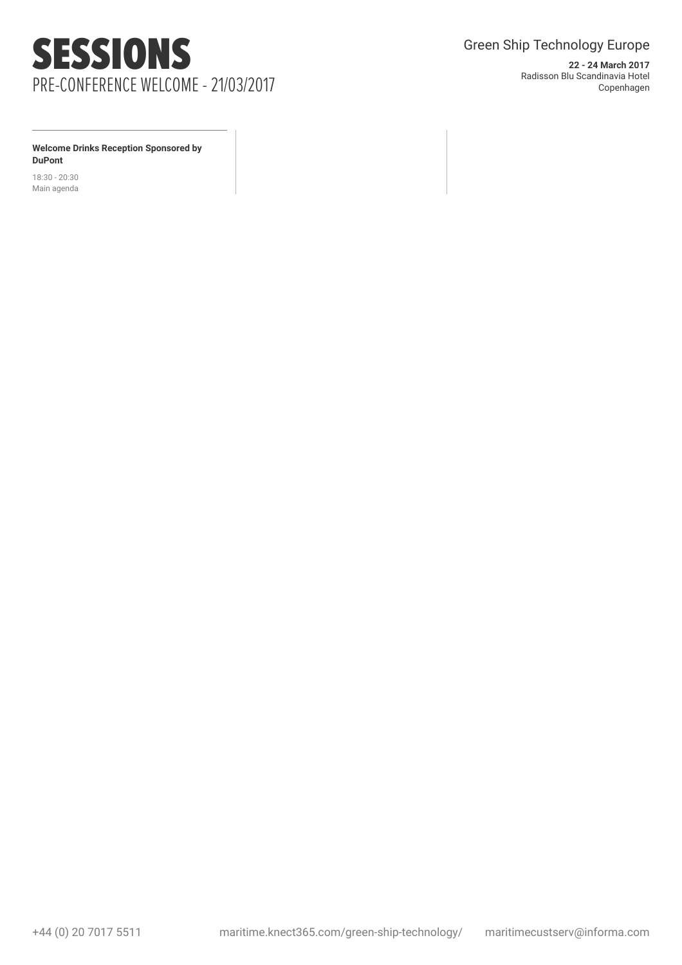

**22 - 24 March 2017** Radisson Blu Scandinavia Hotel Copenhagen

**Welcome Drinks Reception Sponsored by DuPont**

18:30 - 20:30 Main agenda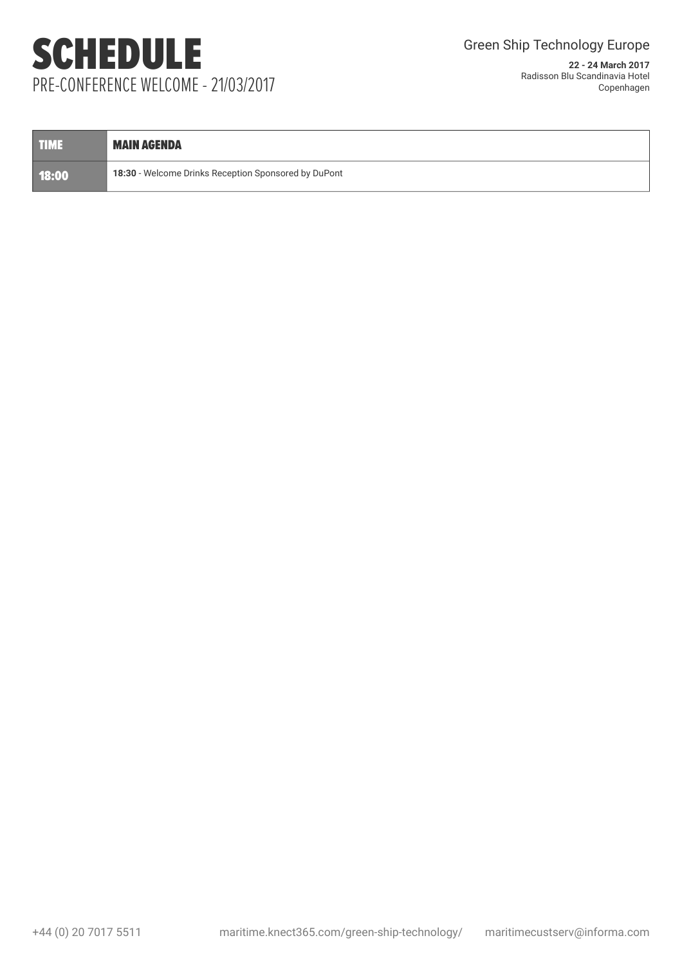# SCHEDULE PRE-CONFERENCE WELCOME - 21/03/2017

| <b>TIME</b> | <b>MAIN AGENDA</b>                                          |
|-------------|-------------------------------------------------------------|
| 18:00       | <b>18:30</b> - Welcome Drinks Reception Sponsored by DuPont |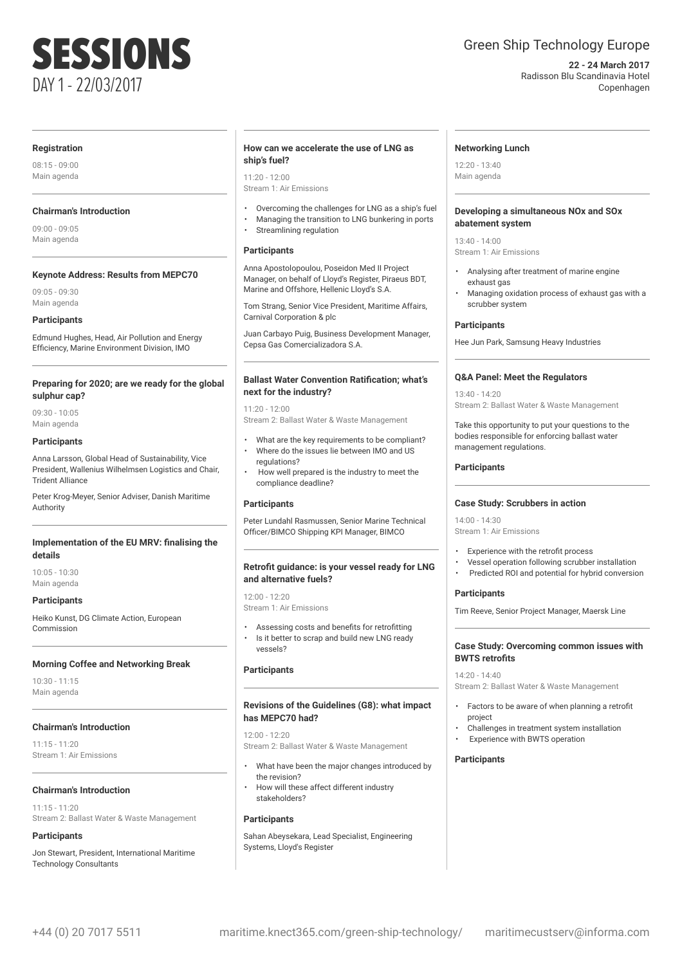# SESSIONS DAY 1 - 22/03/2017

### Green Ship Technology Europe

**22 - 24 March 2017** Radisson Blu Scandinavia Hotel Copenhagen

#### **Registration**

08:15 - 09:00 Main agenda

#### **Chairman's Introduction**

09:00 - 09:05 Main agenda

#### **Keynote Address: Results from MEPC70**

09:05 - 09:30 Main agenda

#### **Participants**

Edmund Hughes, Head, Air Pollution and Energy Efficiency, Marine Environment Division, IMO

#### **Preparing for 2020; are we ready for the global sulphur cap?**

09:30 - 10:05 Main agenda

#### **Participants**

Anna Larsson, Global Head of Sustainability, Vice President, Wallenius Wilhelmsen Logistics and Chair, Trident Alliance

Peter Krog-Meyer, Senior Adviser, Danish Maritime Authority

#### **Implementation of the EU MRV: finalising the details**

10:05 - 10:30 Main agenda

#### **Participants**

Heiko Kunst, DG Climate Action, European Commission

#### **Morning Coffee and Networking Break**

10:30 - 11:15 Main agenda

#### **Chairman's Introduction**

11:15 - 11:20 Stream 1: Air Emissions

#### **Chairman's Introduction**

11:15 - 11:20 Stream 2: Ballast Water & Waste Management

#### **Participants**

Jon Stewart, President, International Maritime Technology Consultants

#### **How can we accelerate the use of LNG as ship's fuel?**

#### $11:20 - 12:00$

Stream 1: Air Emissions

- Overcoming the challenges for LNG as a ship's fuel
- Managing the transition to LNG bunkering in ports
- Streamlining regulation

#### **Participants**

Anna Apostolopoulou, Poseidon Med II Project Manager, on behalf of Lloyd's Register, Piraeus BDT, Marine and Offshore, Hellenic Lloyd's S.A.

Tom Strang, Senior Vice President, Maritime Affairs, Carnival Corporation & plc

Juan Carbayo Puig, Business Development Manager, Cepsa Gas Comercializadora S.A.

#### **Ballast Water Convention Ratification; what's next for the industry?**

11:20 - 12:00

Stream 2: Ballast Water & Waste Management

- What are the key requirements to be compliant? • Where do the issues lie between IMO and US regulations?
- How well prepared is the industry to meet the compliance deadline?

#### **Participants**

Peter Lundahl Rasmussen, Senior Marine Technical Officer/BIMCO Shipping KPI Manager, BIMCO

#### **Retrofit guidance: is your vessel ready for LNG and alternative fuels?**

12:00 - 12:20 Stream 1: Air Emissions

• Assessing costs and benefits for retrofitting • Is it better to scrap and build new LNG ready vessels?

#### **Participants**

#### **Revisions of the Guidelines (G8): what impact has MEPC70 had?**

12:00 - 12:20

Stream 2: Ballast Water & Waste Management

- What have been the major changes introduced by the revision?
- How will these affect different industry stakeholders?

#### **Participants**

Sahan Abeysekara, Lead Specialist, Engineering Systems, Lloyd's Register

#### **Networking Lunch**

12:20 - 13:40 Main agenda

#### **Developing a simultaneous NOx and SOx abatement system**

13:40 - 14:00 Stream 1: Air Emissions

- Analysing after treatment of marine engine exhaust gas
- Managing oxidation process of exhaust gas with a scrubber system

#### **Participants**

Hee Jun Park, Samsung Heavy Industries

#### **Q&A Panel: Meet the Regulators**

13:40 - 14:20 Stream 2: Ballast Water & Waste Management

Take this opportunity to put your questions to the bodies responsible for enforcing ballast water management regulations.

#### **Participants**

#### **Case Study: Scrubbers in action**

14:00 - 14:30 Stream 1: Air Emissions

- Experience with the retrofit process
- Vessel operation following scrubber installation
- Predicted ROI and potential for hybrid conversion

#### **Participants**

Tim Reeve, Senior Project Manager, Maersk Line

#### **Case Study: Overcoming common issues with BWTS retrofits**

#### 14:20 - 14:40

Stream 2: Ballast Water & Waste Management

- Factors to be aware of when planning a retrofit project
- Challenges in treatment system installation
- Experience with BWTS operation

#### **Participants**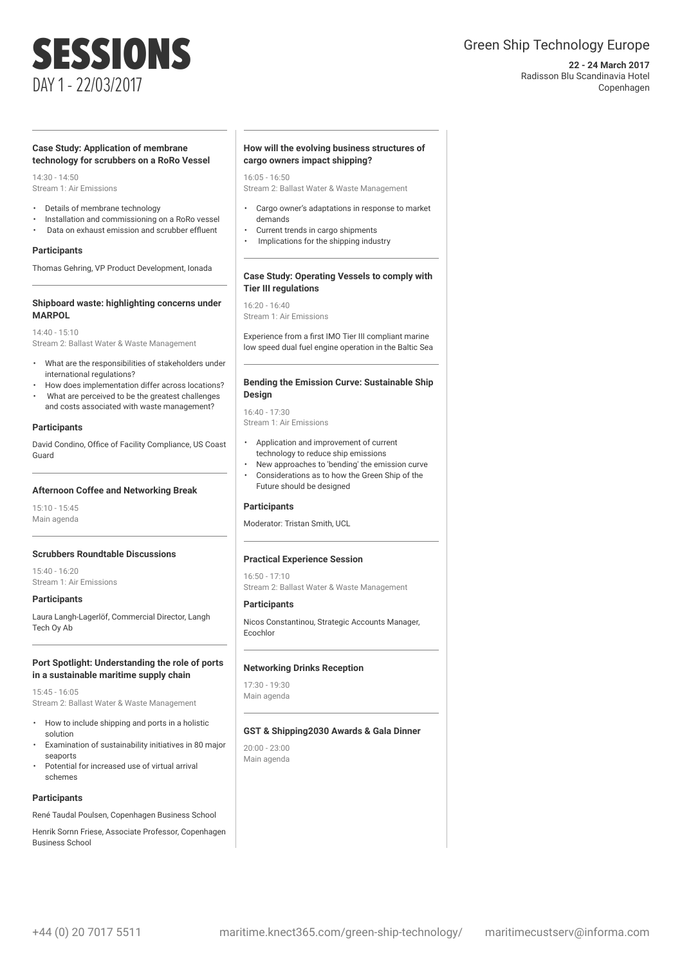### Green Ship Technology Europe

**22 - 24 March 2017** Radisson Blu Scandinavia Hotel Copenhagen

### SESSIONS DAY 1 - 22/03/2017

#### **Case Study: Application of membrane technology for scrubbers on a RoRo Vessel**

 $14.30 - 14.50$ Stream 1: Air Emissions

- Details of membrane technology
- Installation and commissioning on a RoRo vessel
- Data on exhaust emission and scrubber effluent

#### **Participants**

Thomas Gehring, VP Product Development, Ionada

#### **Shipboard waste: highlighting concerns under MARPOL**

14:40 - 15:10 Stream 2: Ballast Water & Waste Management

- What are the responsibilities of stakeholders under international regulations?
- How does implementation differ across locations?
- What are perceived to be the greatest challenges and costs associated with waste management?

#### **Participants**

David Condino, Office of Facility Compliance, US Coast Guard

#### **Afternoon Coffee and Networking Break**

15:10 - 15:45 Main agenda

#### **Scrubbers Roundtable Discussions**

15:40 - 16:20 Stream 1: Air Emissions

#### **Participants**

Laura Langh-Lagerlöf, Commercial Director, Langh Tech Oy Ab

#### **Port Spotlight: Understanding the role of ports in a sustainable maritime supply chain**

15:45 - 16:05 Stream 2: Ballast Water & Waste Management

- How to include shipping and ports in a holistic solution
- Examination of sustainability initiatives in 80 major seaports
- Potential for increased use of virtual arrival schemes

#### **Participants**

René Taudal Poulsen, Copenhagen Business School

Henrik Sornn Friese, Associate Professor, Copenhagen Business School

#### **How will the evolving business structures of cargo owners impact shipping?**

16:05 - 16:50

Stream 2: Ballast Water & Waste Management

- Cargo owner's adaptations in response to market demands
- Current trends in cargo shipments
- Implications for the shipping industry

#### **Case Study: Operating Vessels to comply with Tier III regulations**

16:20 - 16:40 Stream 1: Air Emissions

Experience from a first IMO Tier III compliant marine low speed dual fuel engine operation in the Baltic Sea

#### **Bending the Emission Curve: Sustainable Ship Design**

16:40 - 17:30 Stream 1: Air Emissions

- Application and improvement of current technology to reduce ship emissions
- New approaches to 'bending' the emission curve
- Considerations as to how the Green Ship of the Future should be designed

#### **Participants**

Moderator: Tristan Smith, UCL

#### **Practical Experience Session**

16:50 - 17:10

Stream 2: Ballast Water & Waste Management

#### **Participants**

Nicos Constantinou, Strategic Accounts Manager, Ecochlor

#### **Networking Drinks Reception**

17:30 - 19:30 Main agenda

#### **GST & Shipping2030 Awards & Gala Dinner**

20:00 - 23:00 Main agenda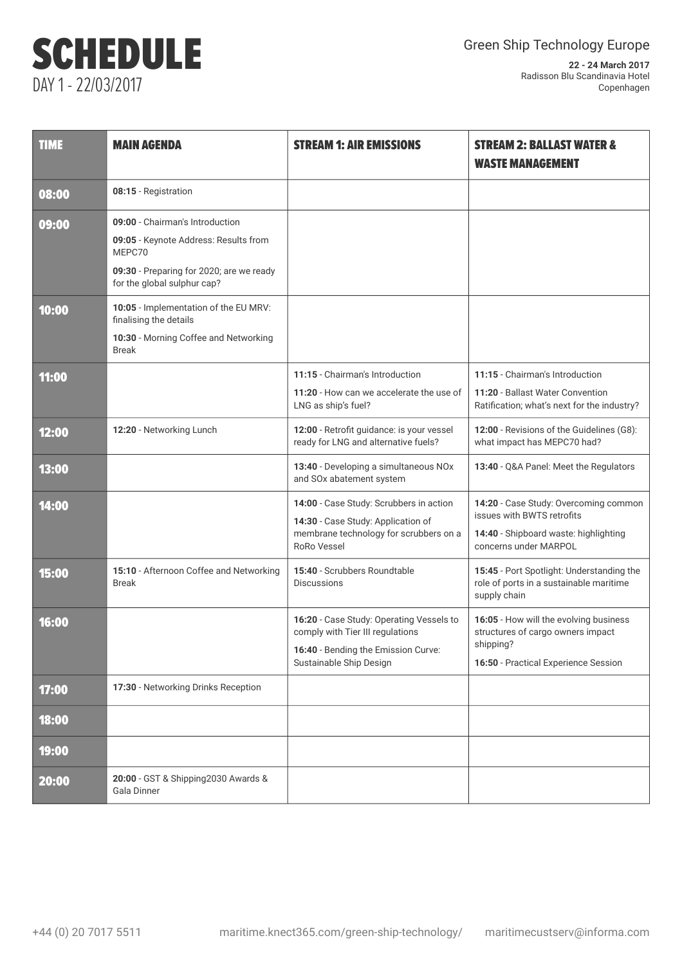# SCHEDULE DAY 1 - 22/03/2017

| <b>TIME</b> | <b>MAIN AGENDA</b>                                                                                                                                            | <b>STREAM 1: AIR EMISSIONS</b>                                                                                                                 | <b>STREAM 2: BALLAST WATER &amp;</b><br><b>WASTE MANAGEMENT</b>                                                                       |
|-------------|---------------------------------------------------------------------------------------------------------------------------------------------------------------|------------------------------------------------------------------------------------------------------------------------------------------------|---------------------------------------------------------------------------------------------------------------------------------------|
| 08:00       | 08:15 - Registration                                                                                                                                          |                                                                                                                                                |                                                                                                                                       |
| 09:00       | 09:00 - Chairman's Introduction<br>09:05 - Keynote Address: Results from<br>MEPC70<br>09:30 - Preparing for 2020; are we ready<br>for the global sulphur cap? |                                                                                                                                                |                                                                                                                                       |
| 10:00       | 10:05 - Implementation of the EU MRV:<br>finalising the details<br>10:30 - Morning Coffee and Networking<br><b>Break</b>                                      |                                                                                                                                                |                                                                                                                                       |
| 11:00       |                                                                                                                                                               | 11:15 - Chairman's Introduction<br>11:20 - How can we accelerate the use of<br>LNG as ship's fuel?                                             | 11:15 - Chairman's Introduction<br>11:20 - Ballast Water Convention<br>Ratification; what's next for the industry?                    |
| 12:00       | 12:20 - Networking Lunch                                                                                                                                      | 12:00 - Retrofit guidance: is your vessel<br>ready for LNG and alternative fuels?                                                              | 12:00 - Revisions of the Guidelines (G8):<br>what impact has MEPC70 had?                                                              |
| 13:00       |                                                                                                                                                               | 13:40 - Developing a simultaneous NOx<br>and SOx abatement system                                                                              | 13:40 - Q&A Panel: Meet the Regulators                                                                                                |
| 14:00       |                                                                                                                                                               | 14:00 - Case Study: Scrubbers in action<br>14:30 - Case Study: Application of<br>membrane technology for scrubbers on a<br><b>RoRo Vessel</b>  | 14:20 - Case Study: Overcoming common<br>issues with BWTS retrofits<br>14:40 - Shipboard waste: highlighting<br>concerns under MARPOL |
| 15:00       | 15:10 - Afternoon Coffee and Networking<br><b>Break</b>                                                                                                       | 15:40 - Scrubbers Roundtable<br><b>Discussions</b>                                                                                             | 15:45 - Port Spotlight: Understanding the<br>role of ports in a sustainable maritime<br>supply chain                                  |
| 16:00       |                                                                                                                                                               | 16:20 - Case Study: Operating Vessels to<br>comply with Tier III regulations<br>16:40 - Bending the Emission Curve:<br>Sustainable Ship Design | 16:05 - How will the evolving business<br>structures of cargo owners impact<br>shipping?<br>16:50 - Practical Experience Session      |
| 17:00       | 17:30 - Networking Drinks Reception                                                                                                                           |                                                                                                                                                |                                                                                                                                       |
| 18:00       |                                                                                                                                                               |                                                                                                                                                |                                                                                                                                       |
| 19:00       |                                                                                                                                                               |                                                                                                                                                |                                                                                                                                       |
| 20:00       | 20:00 - GST & Shipping2030 Awards &<br>Gala Dinner                                                                                                            |                                                                                                                                                |                                                                                                                                       |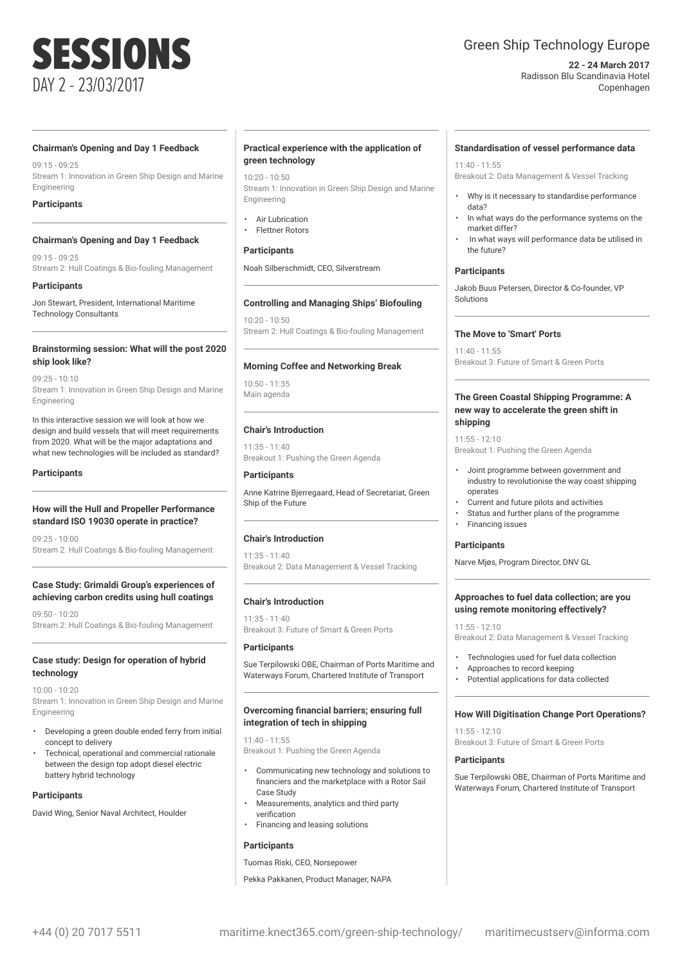# SESSIONS DAY 2 - 23/03/2017

### Green Ship Technology Europe

#### **22 - 24 March 2017** Radisson Blu Scandinavia Hotel Copenhagen

#### **Chairman's Opening and Day 1 Feedback**

09:15 - 09:25 Stream 1: Innovation in Green Ship Design and Marine Engineering

#### **Participants**

#### **Chairman's Opening and Day 1 Feedback**

09:15 - 09:25 Stream 2: Hull Coatings & Bio-fouling Management

#### **Participants**

Jon Stewart, President, International Maritime Technology Consultants

#### **Brainstorming session: What will the post 2020 ship look like?**

09:25 - 10:10 Stream 1: Innovation in Green Ship Design and Marine **Engineering** 

In this interactive session we will look at how we design and build vessels that will meet requirements from 2020. What will be the major adaptations and what new technologies will be included as standard?

#### **Participants**

#### **How will the Hull and Propeller Performance standard ISO 19030 operate in practice?**

09:25 - 10:00 Stream 2: Hull Coatings & Bio-fouling Management

#### **Case Study: Grimaldi Group's experiences of achieving carbon credits using hull coatings**

09:50 - 10:20 Stream 2: Hull Coatings & Bio-fouling Management

#### **Case study: Design for operation of hybrid technology**

10:00 - 10:20 Stream 1: Innovation in Green Ship Design and Marine Engineering

- Developing a green double ended ferry from initial concept to delivery
- Technical, operational and commercial rationale between the design top adopt diesel electric battery hybrid technology

#### **Participants**

David Wing, Senior Naval Architect, Houlder

#### **Practical experience with the application of green technology**

 $10:20 - 10:50$ Stream 1: Innovation in Green Ship Design and Marine Engineering

- **Air Lubrication**
- Flettner Rotors

#### **Participants**

Noah Silberschmidt, CEO, Silverstream

#### **Controlling and Managing Ships' Biofouling**

 $10:20 - 10:50$ Stream 2: Hull Coatings & Bio-fouling Management

#### **Morning Coffee and Networking Break**

10:50 - 11:35 Main agenda

#### **Chair's Introduction**

11:35 - 11:40 Breakout 1: Pushing the Green Agenda

#### **Participants**

Anne Katrine Bjerregaard, Head of Secretariat, Green Ship of the Future

#### **Chair's Introduction**

11:35 - 11:40 Breakout 2: Data Management & Vessel Tracking

#### **Chair's Introduction**

11:35 - 11:40 Breakout 3: Future of Smart & Green Ports

#### **Participants**

Sue Terpilowski OBE, Chairman of Ports Maritime and Waterways Forum, Chartered Institute of Transport

#### **Overcoming financial barriers; ensuring full integration of tech in shipping**

11:40 - 11:55 Breakout 1: Pushing the Green Agenda

- Communicating new technology and solutions to financiers and the marketplace with a Rotor Sail Case Study
- Measurements, analytics and third party verification
- Financing and leasing solutions

#### **Participants**

Tuomas Riski, CEO, Norsepower

Pekka Pakkanen, Product Manager, NAPA

#### **Standardisation of vessel performance data**

11:40 - 11:55 Breakout 2: Data Management & Vessel Tracking

- Why is it necessary to standardise performance data?
- In what ways do the performance systems on the market differ?
- In what ways will performance data be utilised in the future?

#### **Participants**

Jakob Buus Petersen, Director & Co-founder, VP Solutions

#### **The Move to 'Smart' Ports**

11:40 - 11:55 Breakout 3: Future of Smart & Green Ports

#### **The Green Coastal Shipping Programme: A new way to accelerate the green shift in shipping**

11:55 - 12:10 Breakout 1: Pushing the Green Agenda

- Joint programme between government and industry to revolutionise the way coast shipping operates
- Current and future pilots and activities
- Status and further plans of the programme • Financing issues

#### **Participants**

Narve Mjøs, Program Director, DNV GL

#### **Approaches to fuel data collection; are you using remote monitoring effectively?**

11:55 - 12:10

- Breakout 2: Data Management & Vessel Tracking
- Technologies used for fuel data collection
- Approaches to record keeping
- Potential applications for data collected

#### **How Will Digitisation Change Port Operations?**

 $11:55 - 12:10$ Breakout 3: Future of Smart & Green Ports

#### **Participants**

Sue Terpilowski OBE, Chairman of Ports Maritime and Waterways Forum, Chartered Institute of Transport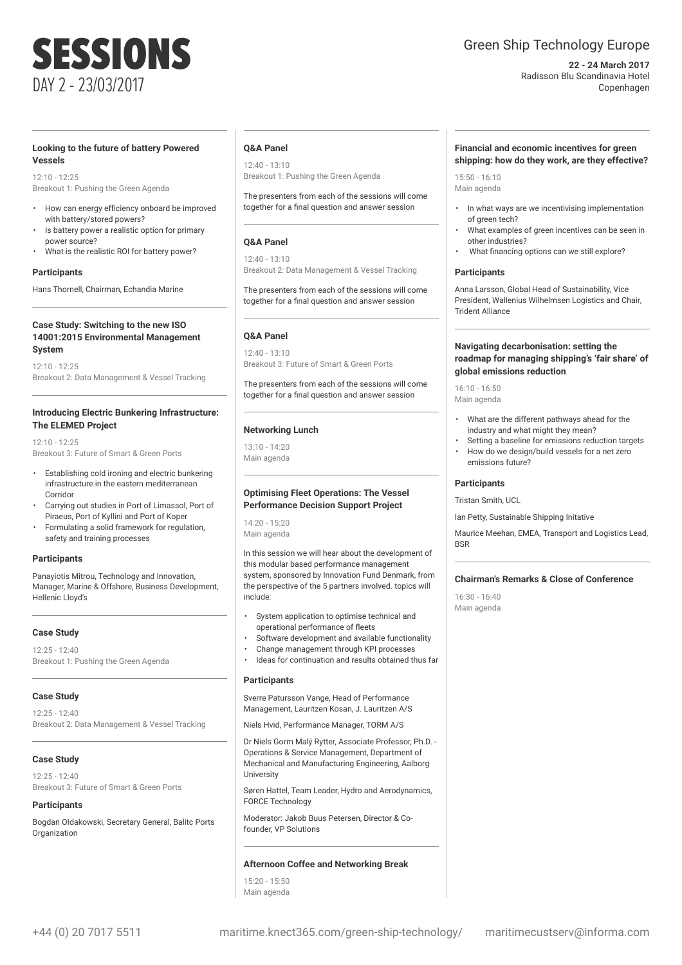# SESSIONS DAY 2 - 23/03/2017

#### **Looking to the future of battery Powered Vessels**

 $12.10 - 12.25$ Breakout 1: Pushing the Green Agenda

- How can energy efficiency onboard be improved with battery/stored powers?
- Is battery power a realistic option for primary power source?
- What is the realistic ROI for battery power?

#### **Participants**

Hans Thornell, Chairman, Echandia Marine

#### **Case Study: Switching to the new ISO 14001:2015 Environmental Management System**

12:10 - 12:25 Breakout 2: Data Management & Vessel Tracking

#### **Introducing Electric Bunkering Infrastructure: The ELEMED Project**

 $12.10 - 12.25$ Breakout 3: Future of Smart & Green Ports

- Establishing cold ironing and electric bunkering infrastructure in the eastern mediterranean Corridor
- Carrying out studies in Port of Limassol, Port of Piraeus, Port of Kyllini and Port of Koper
- Formulating a solid framework for regulation, safety and training processes

#### **Participants**

Panayiotis Mitrou, Technology and Innovation, Manager, Marine & Offshore, Business Development, Hellenic Lloyd's

#### **Case Study**

 $12.25 - 12.40$ Breakout 1: Pushing the Green Agenda

#### **Case Study**

12:25 - 12:40 Breakout 2: Data Management & Vessel Tracking

#### **Case Study**

 $12.25 - 12.40$ Breakout 3: Future of Smart & Green Ports

#### **Participants**

Bogdan Ołdakowski, Secretary General, Balitc Ports **Organization** 

#### **Q&A Panel**

12:40 - 13:10 Breakout 1: Pushing the Green Agenda

The presenters from each of the sessions will come together for a final question and answer session

#### **Q&A Panel**

12:40 - 13:10 Breakout 2: Data Management & Vessel Tracking

The presenters from each of the sessions will come together for a final question and answer session

#### **Q&A Panel**

12:40 - 13:10 Breakout 3: Future of Smart & Green Ports

The presenters from each of the sessions will come together for a final question and answer session

### **Networking Lunch**

13:10 - 14:20 Main agenda

#### **Optimising Fleet Operations: The Vessel Performance Decision Support Project**

14:20 - 15:20 Main agenda

In this session we will hear about the development of this modular based performance management system, sponsored by Innovation Fund Denmark, from the perspective of the 5 partners involved. topics will include:

- System application to optimise technical and operational performance of fleets
- Software development and available functionality
- Change management through KPI processes
- Ideas for continuation and results obtained thus far

#### **Participants**

Sverre Patursson Vange, Head of Performance Management, Lauritzen Kosan, J. Lauritzen A/S

Niels Hvid, Performance Manager, TORM A/S

Dr Niels Gorm Malý Rytter, Associate Professor, Ph.D. - Operations & Service Management, Department of Mechanical and Manufacturing Engineering, Aalborg University

Søren Hattel, Team Leader, Hydro and Aerodynamics, FORCE Technology

founder, VP Solutions

#### **Afternoon Coffee and Networking Break**

15:20 - 15:50 Main agenda

### Green Ship Technology Europe

**22 - 24 March 2017** Radisson Blu Scandinavia Hotel Copenhagen

#### **Financial and economic incentives for green shipping: how do they work, are they effective?**

 $15:50 - 16:10$ Main agenda

- In what ways are we incentivising implementation of green tech?
- What examples of green incentives can be seen in other industries?
- What financing options can we still explore?

#### **Participants**

Anna Larsson, Global Head of Sustainability, Vice President, Wallenius Wilhelmsen Logistics and Chair, Trident Alliance

#### **Navigating decarbonisation: setting the roadmap for managing shipping's 'fair share' of global emissions reduction**

16:10 - 16:50 Main agenda

- What are the different pathways ahead for the industry and what might they mean?
- Setting a baseline for emissions reduction targets • How do we design/build vessels for a net zero emissions future?

#### **Participants**

Tristan Smith, UCL

Ian Petty, Sustainable Shipping Initative

Maurice Meehan, EMEA, Transport and Logistics Lead, BSR

#### **Chairman's Remarks & Close of Conference**

16:30 - 16:40 Main agenda

Moderator: Jakob Buus Petersen, Director & Co-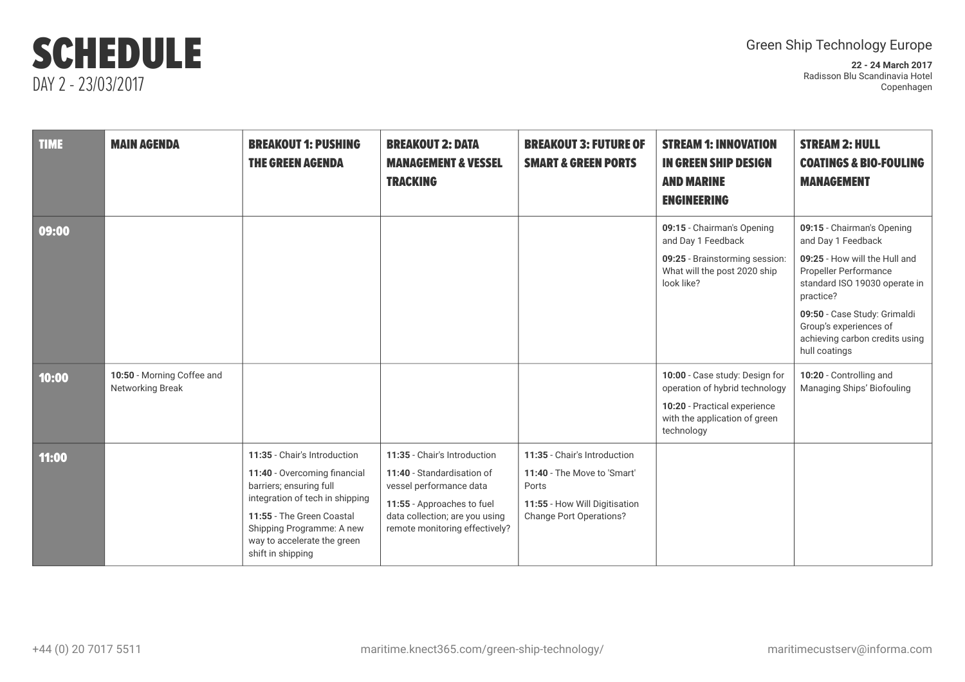## SCHEDULE DAY 2 - 23/03/2017

### Green Ship Technology Europe

**22 - 24 March 2017** Radisson Blu Scandinavia Hotel Copenhagen

| <b>TIME</b> | <b>MAIN AGENDA</b>                             | <b>BREAKOUT 1: PUSHING</b><br><b>THE GREEN AGENDA</b>                                                                                                                                                                                    | <b>BREAKOUT 2: DATA</b><br><b>MANAGEMENT &amp; VESSEL</b><br><b>TRACKING</b>                                                                                                            | <b>BREAKOUT 3: FUTURE OF</b><br><b>SMART &amp; GREEN PORTS</b>                                                                          | <b>STREAM 1: INNOVATION</b><br><b>IN GREEN SHIP DESIGN</b><br><b>AND MARINE</b><br><b>ENGINEERING</b>                                           | <b>STREAM 2: HULL</b><br><b>COATINGS &amp; BIO-FOULING</b><br><b>MANAGEMENT</b>                             |
|-------------|------------------------------------------------|------------------------------------------------------------------------------------------------------------------------------------------------------------------------------------------------------------------------------------------|-----------------------------------------------------------------------------------------------------------------------------------------------------------------------------------------|-----------------------------------------------------------------------------------------------------------------------------------------|-------------------------------------------------------------------------------------------------------------------------------------------------|-------------------------------------------------------------------------------------------------------------|
| 09:00       |                                                |                                                                                                                                                                                                                                          |                                                                                                                                                                                         |                                                                                                                                         | 09:15 - Chairman's Opening<br>and Day 1 Feedback                                                                                                | 09:15 - Chairman's Opening<br>and Day 1 Feedback                                                            |
|             |                                                |                                                                                                                                                                                                                                          |                                                                                                                                                                                         |                                                                                                                                         | 09:25 - Brainstorming session:<br>What will the post 2020 ship<br>look like?                                                                    | 09:25 - How will the Hull and<br><b>Propeller Performance</b><br>standard ISO 19030 operate in<br>practice? |
|             |                                                |                                                                                                                                                                                                                                          |                                                                                                                                                                                         |                                                                                                                                         |                                                                                                                                                 | 09:50 - Case Study: Grimaldi<br>Group's experiences of<br>achieving carbon credits using<br>hull coatings   |
| 10:00       | 10:50 - Morning Coffee and<br>Networking Break |                                                                                                                                                                                                                                          |                                                                                                                                                                                         |                                                                                                                                         | 10:00 - Case study: Design for<br>operation of hybrid technology<br>10:20 - Practical experience<br>with the application of green<br>technology | 10:20 - Controlling and<br>Managing Ships' Biofouling                                                       |
| 11:00       |                                                | 11:35 - Chair's Introduction<br>11:40 - Overcoming financial<br>barriers; ensuring full<br>integration of tech in shipping<br>11:55 - The Green Coastal<br>Shipping Programme: A new<br>way to accelerate the green<br>shift in shipping | 11:35 - Chair's Introduction<br>11:40 - Standardisation of<br>vessel performance data<br>11:55 - Approaches to fuel<br>data collection; are you using<br>remote monitoring effectively? | 11:35 - Chair's Introduction<br>11:40 - The Move to 'Smart'<br>Ports<br>11:55 - How Will Digitisation<br><b>Change Port Operations?</b> |                                                                                                                                                 |                                                                                                             |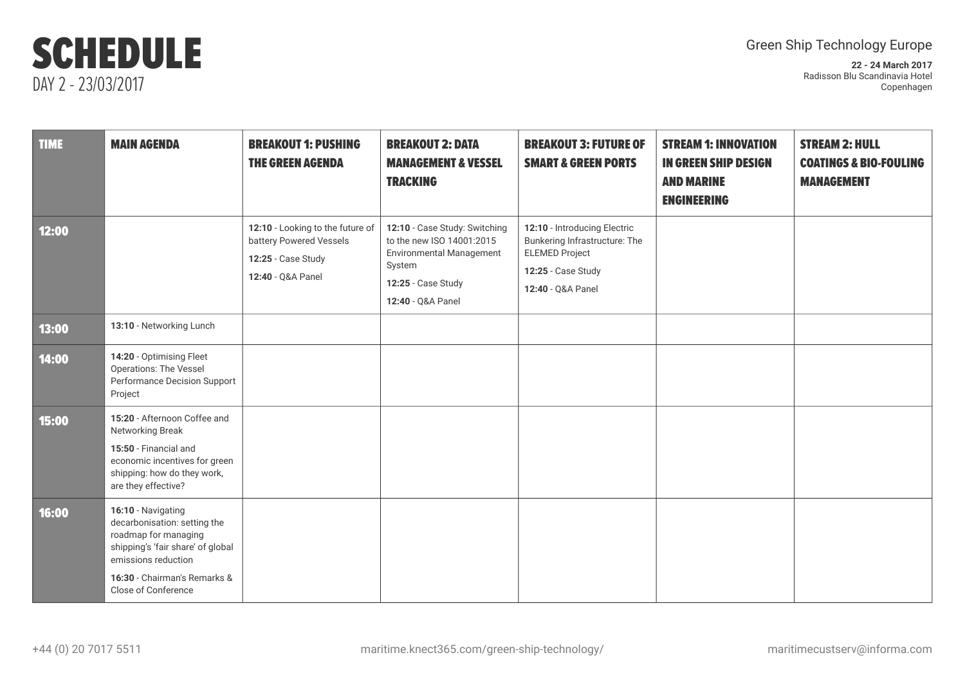## SCHEDULE DAY 2 - 23/03/2017

### Green Ship Technology Europe

**22 - 24 March 2017** Radisson Blu Scandinavia Hotel Copenhagen

| <b>TIME</b> | <b>MAIN AGENDA</b>                                                                                                                                                                            | <b>BREAKOUT 1: PUSHING</b><br><b>THE GREEN AGENDA</b>                                                  | <b>BREAKOUT 2: DATA</b><br><b>MANAGEMENT &amp; VESSEL</b><br><b>TRACKING</b>                                                                       | <b>BREAKOUT 3: FUTURE OF</b><br><b>SMART &amp; GREEN PORTS</b>                                                                    | <b>STREAM 1: INNOVATION</b><br><b>IN GREEN SHIP DESIGN</b><br><b>AND MARINE</b><br><b>ENGINEERING</b> | <b>STREAM 2: HULL</b><br><b>COATINGS &amp; BIO-FOULING</b><br><b>MANAGEMENT</b> |
|-------------|-----------------------------------------------------------------------------------------------------------------------------------------------------------------------------------------------|--------------------------------------------------------------------------------------------------------|----------------------------------------------------------------------------------------------------------------------------------------------------|-----------------------------------------------------------------------------------------------------------------------------------|-------------------------------------------------------------------------------------------------------|---------------------------------------------------------------------------------|
| 12:00       |                                                                                                                                                                                               | 12:10 - Looking to the future of<br>battery Powered Vessels<br>12:25 - Case Study<br>12:40 - Q&A Panel | 12:10 - Case Study: Switching<br>to the new ISO 14001:2015<br><b>Environmental Management</b><br>System<br>12:25 - Case Study<br>12:40 - Q&A Panel | 12:10 - Introducing Electric<br>Bunkering Infrastructure: The<br><b>ELEMED Project</b><br>12:25 - Case Study<br>12:40 - Q&A Panel |                                                                                                       |                                                                                 |
| 13:00       | 13:10 - Networking Lunch                                                                                                                                                                      |                                                                                                        |                                                                                                                                                    |                                                                                                                                   |                                                                                                       |                                                                                 |
| 14:00       | 14:20 - Optimising Fleet<br><b>Operations: The Vessel</b><br>Performance Decision Support<br>Project                                                                                          |                                                                                                        |                                                                                                                                                    |                                                                                                                                   |                                                                                                       |                                                                                 |
| 15:00       | 15:20 - Afternoon Coffee and<br>Networking Break<br>15:50 - Financial and<br>economic incentives for green<br>shipping: how do they work,<br>are they effective?                              |                                                                                                        |                                                                                                                                                    |                                                                                                                                   |                                                                                                       |                                                                                 |
| 16:00       | 16:10 - Navigating<br>decarbonisation: setting the<br>roadmap for managing<br>shipping's 'fair share' of global<br>emissions reduction<br>16:30 - Chairman's Remarks &<br>Close of Conference |                                                                                                        |                                                                                                                                                    |                                                                                                                                   |                                                                                                       |                                                                                 |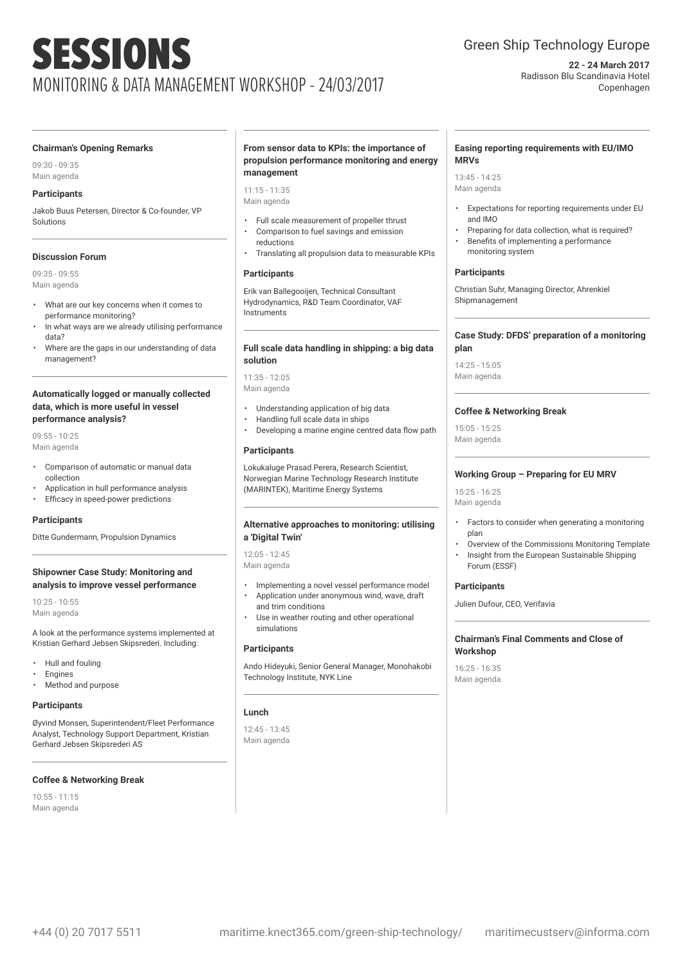# SESSIONS MONITORING & DATA MANAGEMENT WORKSHOP - 24/03/2017

### Green Ship Technology Europe

**22 - 24 March 2017** Radisson Blu Scandinavia Hotel Copenhagen

#### **Chairman's Opening Remarks**

09:30 - 09:35 Main agenda

#### **Participants**

Jakob Buus Petersen, Director & Co-founder, VP Solutions

#### **Discussion Forum**

09:35 - 09:55 Main agenda

- What are our key concerns when it comes to performance monitoring?
- In what ways are we already utilising performance data?
- Where are the gaps in our understanding of data management?

#### **Automatically logged or manually collected data, which is more useful in vessel performance analysis?**

09:55 - 10:25 Main agenda

- Comparison of automatic or manual data collection
- Application in hull performance analysis
- Efficacy in speed-power predictions

#### **Participants**

Ditte Gundermann, Propulsion Dynamics

#### **Shipowner Case Study: Monitoring and analysis to improve vessel performance**

10:25 - 10:55 Main agenda

A look at the performance systems implemented at Kristian Gerhard Jebsen Skipsrederi. Including:

- Hull and fouling
- **Engines**
- Method and purpose

#### **Participants**

Øyvind Monsen, Superintendent/Fleet Performance Analyst, Technology Support Department, Kristian Gerhard Jebsen Skipsrederi AS

#### **Coffee & Networking Break**

10:55 - 11:15 Main agenda

#### **From sensor data to KPIs: the importance of propulsion performance monitoring and energy management**

11:15 - 11:35 Main agenda

- Full scale measurement of propeller thrust
- Comparison to fuel savings and emission reductions
- Translating all propulsion data to measurable KPIs

#### **Participants**

Erik van Ballegooijen, Technical Consultant Hydrodynamics, R&D Team Coordinator, VAF Instruments

#### **Full scale data handling in shipping: a big data solution**

11:35 - 12:05 Main agenda

- Understanding application of big data
- Handling full scale data in ships
- Developing a marine engine centred data flow path

#### **Participants**

Lokukaluge Prasad Perera, Research Scientist, Norwegian Marine Technology Research Institute (MARINTEK), Maritime Energy Systems

#### **Alternative approaches to monitoring: utilising a 'Digital Twin'**

12:05 - 12:45 Main agenda

- Implementing a novel vessel performance model • Application under anonymous wind, wave, draft
- and trim conditions
- Use in weather routing and other operational simulations

#### **Participants**

Ando Hideyuki, Senior General Manager, Monohakobi Technology Institute, NYK Line

#### **Lunch**

12:45 - 13:45 Main agenda

#### **Easing reporting requirements with EU/IMO MRVs**

13:45 - 14:25 Main agenda

- Expectations for reporting requirements under EU and IMO
- Preparing for data collection, what is required?
- Benefits of implementing a performance monitoring system

#### **Participants**

Christian Suhr, Managing Director, Ahrenkiel Shipmanagement

#### **Case Study: DFDS' preparation of a monitoring plan**

14:25 - 15:05 Main agenda

#### **Coffee & Networking Break**

15:05 - 15:25 Main agenda

#### **Working Group – Preparing for EU MRV**

15:25 - 16:25 Main agenda

- Factors to consider when generating a monitoring plan
- Overview of the Commissions Monitoring Template
- Insight from the European Sustainable Shipping Forum (ESSF)

#### **Participants**

Julien Dufour, CEO, Verifavia

#### **Chairman's Final Comments and Close of Workshop**

16:25 - 16:35 Main agenda